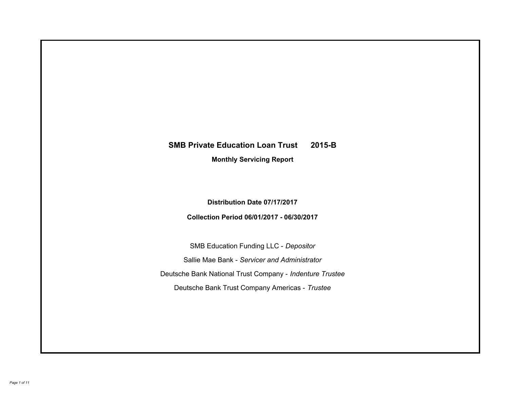# **SMB Private Education Loan Trust 2015-B Monthly Servicing Report**

**Distribution Date 07/17/2017**

**Collection Period 06/01/2017 - 06/30/2017**

SMB Education Funding LLC - *Depositor* Sallie Mae Bank - *Servicer and Administrator* Deutsche Bank National Trust Company - *Indenture Trustee* Deutsche Bank Trust Company Americas - *Trustee*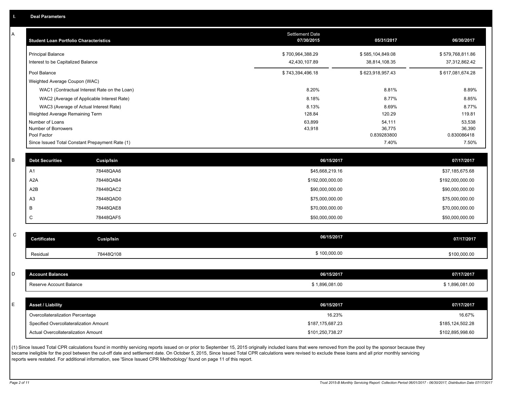A

| <b>Principal Balance</b><br>\$700,964,388.29<br>\$585,104,849.08<br>Interest to be Capitalized Balance<br>42,430,107.89<br>38,814,108.35<br>Pool Balance<br>\$743,394,496.18<br>\$623,918,957.43<br>Weighted Average Coupon (WAC)<br>WAC1 (Contractual Interest Rate on the Loan)<br>8.20%<br>8.81%<br>WAC2 (Average of Applicable Interest Rate)<br>8.18%<br>8.77%<br>8.13%<br>WAC3 (Average of Actual Interest Rate)<br>8.69%<br>Weighted Average Remaining Term<br>128.84<br>120.29<br>Number of Loans<br>63,899<br>54,111<br>Number of Borrowers<br>43,918<br>36,775<br>Pool Factor<br>0.839283800<br>7.40%<br>Since Issued Total Constant Prepayment Rate (1)<br><b>Debt Securities</b><br>Cusip/Isin<br>06/15/2017<br>78448QAA6<br>A1<br>\$45,668,219.16<br>A <sub>2</sub> A<br>78448QAB4<br>\$192,000,000.00<br>A <sub>2</sub> B<br>78448QAC2<br>\$90,000,000.00<br>A <sub>3</sub><br>78448QAD0<br>\$75,000,000.00<br>B<br>78448QAE8<br>\$70,000,000.00<br>$\mathsf C$<br>78448QAF5<br>\$50,000,000.00<br>$\mathsf C$<br>06/15/2017<br><b>Certificates</b><br>Cusip/Isin<br>\$100,000.00<br>Residual<br>78448Q108<br><b>Account Balances</b><br>06/15/2017<br>Reserve Account Balance<br>\$1,896,081.00<br>06/15/2017<br><b>Asset / Liability</b><br>Overcollateralization Percentage<br>16.23%<br>\$187,175,687.23<br>Specified Overcollateralization Amount | A | <b>Student Loan Portfolio Characteristics</b> | Settlement Date<br>07/30/2015 | 05/31/2017 | 06/30/2017            |
|----------------------------------------------------------------------------------------------------------------------------------------------------------------------------------------------------------------------------------------------------------------------------------------------------------------------------------------------------------------------------------------------------------------------------------------------------------------------------------------------------------------------------------------------------------------------------------------------------------------------------------------------------------------------------------------------------------------------------------------------------------------------------------------------------------------------------------------------------------------------------------------------------------------------------------------------------------------------------------------------------------------------------------------------------------------------------------------------------------------------------------------------------------------------------------------------------------------------------------------------------------------------------------------------------------------------------------------------------------------------|---|-----------------------------------------------|-------------------------------|------------|-----------------------|
|                                                                                                                                                                                                                                                                                                                                                                                                                                                                                                                                                                                                                                                                                                                                                                                                                                                                                                                                                                                                                                                                                                                                                                                                                                                                                                                                                                      |   |                                               |                               |            | \$579,768,811.86      |
|                                                                                                                                                                                                                                                                                                                                                                                                                                                                                                                                                                                                                                                                                                                                                                                                                                                                                                                                                                                                                                                                                                                                                                                                                                                                                                                                                                      |   |                                               |                               |            | 37,312,862.42         |
|                                                                                                                                                                                                                                                                                                                                                                                                                                                                                                                                                                                                                                                                                                                                                                                                                                                                                                                                                                                                                                                                                                                                                                                                                                                                                                                                                                      |   |                                               |                               |            | \$617,081,674.28      |
|                                                                                                                                                                                                                                                                                                                                                                                                                                                                                                                                                                                                                                                                                                                                                                                                                                                                                                                                                                                                                                                                                                                                                                                                                                                                                                                                                                      |   |                                               |                               |            |                       |
|                                                                                                                                                                                                                                                                                                                                                                                                                                                                                                                                                                                                                                                                                                                                                                                                                                                                                                                                                                                                                                                                                                                                                                                                                                                                                                                                                                      |   |                                               |                               |            | 8.89%                 |
|                                                                                                                                                                                                                                                                                                                                                                                                                                                                                                                                                                                                                                                                                                                                                                                                                                                                                                                                                                                                                                                                                                                                                                                                                                                                                                                                                                      |   |                                               |                               |            | 8.85%                 |
|                                                                                                                                                                                                                                                                                                                                                                                                                                                                                                                                                                                                                                                                                                                                                                                                                                                                                                                                                                                                                                                                                                                                                                                                                                                                                                                                                                      |   |                                               |                               |            | 8.77%                 |
| В<br>D<br>E                                                                                                                                                                                                                                                                                                                                                                                                                                                                                                                                                                                                                                                                                                                                                                                                                                                                                                                                                                                                                                                                                                                                                                                                                                                                                                                                                          |   |                                               |                               |            | 119.81                |
|                                                                                                                                                                                                                                                                                                                                                                                                                                                                                                                                                                                                                                                                                                                                                                                                                                                                                                                                                                                                                                                                                                                                                                                                                                                                                                                                                                      |   |                                               |                               |            | 53,538                |
|                                                                                                                                                                                                                                                                                                                                                                                                                                                                                                                                                                                                                                                                                                                                                                                                                                                                                                                                                                                                                                                                                                                                                                                                                                                                                                                                                                      |   |                                               |                               |            | 36,390<br>0.830086418 |
|                                                                                                                                                                                                                                                                                                                                                                                                                                                                                                                                                                                                                                                                                                                                                                                                                                                                                                                                                                                                                                                                                                                                                                                                                                                                                                                                                                      |   |                                               |                               |            | 7.50%                 |
|                                                                                                                                                                                                                                                                                                                                                                                                                                                                                                                                                                                                                                                                                                                                                                                                                                                                                                                                                                                                                                                                                                                                                                                                                                                                                                                                                                      |   |                                               |                               |            |                       |
|                                                                                                                                                                                                                                                                                                                                                                                                                                                                                                                                                                                                                                                                                                                                                                                                                                                                                                                                                                                                                                                                                                                                                                                                                                                                                                                                                                      |   |                                               |                               |            | 07/17/2017            |
|                                                                                                                                                                                                                                                                                                                                                                                                                                                                                                                                                                                                                                                                                                                                                                                                                                                                                                                                                                                                                                                                                                                                                                                                                                                                                                                                                                      |   |                                               |                               |            | \$37,185,675.68       |
|                                                                                                                                                                                                                                                                                                                                                                                                                                                                                                                                                                                                                                                                                                                                                                                                                                                                                                                                                                                                                                                                                                                                                                                                                                                                                                                                                                      |   |                                               |                               |            | \$192,000,000.00      |
|                                                                                                                                                                                                                                                                                                                                                                                                                                                                                                                                                                                                                                                                                                                                                                                                                                                                                                                                                                                                                                                                                                                                                                                                                                                                                                                                                                      |   |                                               |                               |            | \$90,000,000.00       |
|                                                                                                                                                                                                                                                                                                                                                                                                                                                                                                                                                                                                                                                                                                                                                                                                                                                                                                                                                                                                                                                                                                                                                                                                                                                                                                                                                                      |   |                                               |                               |            | \$75,000,000.00       |
|                                                                                                                                                                                                                                                                                                                                                                                                                                                                                                                                                                                                                                                                                                                                                                                                                                                                                                                                                                                                                                                                                                                                                                                                                                                                                                                                                                      |   |                                               |                               |            | \$70,000,000.00       |
|                                                                                                                                                                                                                                                                                                                                                                                                                                                                                                                                                                                                                                                                                                                                                                                                                                                                                                                                                                                                                                                                                                                                                                                                                                                                                                                                                                      |   |                                               |                               |            | \$50,000,000.00       |
|                                                                                                                                                                                                                                                                                                                                                                                                                                                                                                                                                                                                                                                                                                                                                                                                                                                                                                                                                                                                                                                                                                                                                                                                                                                                                                                                                                      |   |                                               |                               |            |                       |
|                                                                                                                                                                                                                                                                                                                                                                                                                                                                                                                                                                                                                                                                                                                                                                                                                                                                                                                                                                                                                                                                                                                                                                                                                                                                                                                                                                      |   |                                               |                               |            | 07/17/2017            |
|                                                                                                                                                                                                                                                                                                                                                                                                                                                                                                                                                                                                                                                                                                                                                                                                                                                                                                                                                                                                                                                                                                                                                                                                                                                                                                                                                                      |   |                                               |                               |            | \$100,000.00          |
|                                                                                                                                                                                                                                                                                                                                                                                                                                                                                                                                                                                                                                                                                                                                                                                                                                                                                                                                                                                                                                                                                                                                                                                                                                                                                                                                                                      |   |                                               |                               |            |                       |
|                                                                                                                                                                                                                                                                                                                                                                                                                                                                                                                                                                                                                                                                                                                                                                                                                                                                                                                                                                                                                                                                                                                                                                                                                                                                                                                                                                      |   |                                               |                               |            | 07/17/2017            |
|                                                                                                                                                                                                                                                                                                                                                                                                                                                                                                                                                                                                                                                                                                                                                                                                                                                                                                                                                                                                                                                                                                                                                                                                                                                                                                                                                                      |   |                                               |                               |            | \$1,896,081.00        |
|                                                                                                                                                                                                                                                                                                                                                                                                                                                                                                                                                                                                                                                                                                                                                                                                                                                                                                                                                                                                                                                                                                                                                                                                                                                                                                                                                                      |   |                                               |                               |            |                       |
|                                                                                                                                                                                                                                                                                                                                                                                                                                                                                                                                                                                                                                                                                                                                                                                                                                                                                                                                                                                                                                                                                                                                                                                                                                                                                                                                                                      |   |                                               |                               |            | 07/17/2017            |
|                                                                                                                                                                                                                                                                                                                                                                                                                                                                                                                                                                                                                                                                                                                                                                                                                                                                                                                                                                                                                                                                                                                                                                                                                                                                                                                                                                      |   |                                               |                               |            | 16.67%                |
|                                                                                                                                                                                                                                                                                                                                                                                                                                                                                                                                                                                                                                                                                                                                                                                                                                                                                                                                                                                                                                                                                                                                                                                                                                                                                                                                                                      |   |                                               |                               |            | \$185,124,502.28      |
| Actual Overcollateralization Amount                                                                                                                                                                                                                                                                                                                                                                                                                                                                                                                                                                                                                                                                                                                                                                                                                                                                                                                                                                                                                                                                                                                                                                                                                                                                                                                                  |   |                                               | \$101,250,738.27              |            | \$102,895,998.60      |

(1) Since Issued Total CPR calculations found in monthly servicing reports issued on or prior to September 15, 2015 originally included loans that were removed from the pool by the sponsor because they became ineligible for the pool between the cut-off date and settlement date. On October 5, 2015, Since Issued Total CPR calculations were revised to exclude these loans and all prior monthly servicing reports were restated. For additional information, see 'Since Issued CPR Methodology' found on page 11 of this report.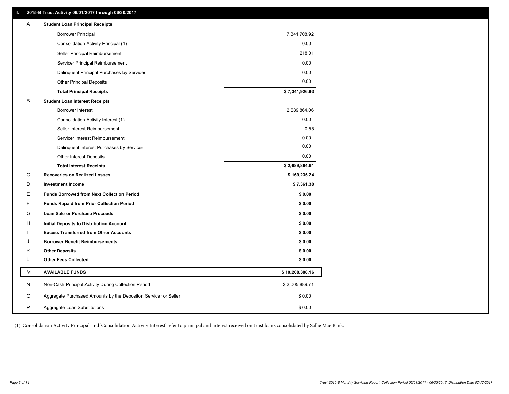## **II. 2015-B Trust Activity 06/01/2017 through 06/30/2017**

| Α  | <b>Student Loan Principal Receipts</b>                           |                 |  |
|----|------------------------------------------------------------------|-----------------|--|
|    | <b>Borrower Principal</b>                                        | 7,341,708.92    |  |
|    | Consolidation Activity Principal (1)                             | 0.00            |  |
|    | Seller Principal Reimbursement                                   | 218.01          |  |
|    | Servicer Principal Reimbursement                                 | 0.00            |  |
|    | Delinquent Principal Purchases by Servicer                       | 0.00            |  |
|    | <b>Other Principal Deposits</b>                                  | 0.00            |  |
|    | <b>Total Principal Receipts</b>                                  | \$7,341,926.93  |  |
| B  | <b>Student Loan Interest Receipts</b>                            |                 |  |
|    | Borrower Interest                                                | 2,689,864.06    |  |
|    | Consolidation Activity Interest (1)                              | 0.00            |  |
|    | Seller Interest Reimbursement                                    | 0.55            |  |
|    | Servicer Interest Reimbursement                                  | 0.00            |  |
|    | Delinquent Interest Purchases by Servicer                        | 0.00            |  |
|    | Other Interest Deposits                                          | 0.00            |  |
|    | <b>Total Interest Receipts</b>                                   | \$2,689,864.61  |  |
| С  | <b>Recoveries on Realized Losses</b>                             | \$169,235.24    |  |
| D  | <b>Investment Income</b>                                         | \$7,361.38      |  |
| E  | <b>Funds Borrowed from Next Collection Period</b>                | \$0.00          |  |
| F  | <b>Funds Repaid from Prior Collection Period</b>                 | \$0.00          |  |
| G  | Loan Sale or Purchase Proceeds                                   | \$0.00          |  |
| H  | Initial Deposits to Distribution Account                         | \$0.00          |  |
|    | <b>Excess Transferred from Other Accounts</b>                    | \$0.00          |  |
| J  | <b>Borrower Benefit Reimbursements</b>                           | \$0.00          |  |
| Κ  | <b>Other Deposits</b>                                            | \$0.00          |  |
| L. | <b>Other Fees Collected</b>                                      | \$0.00          |  |
| М  | <b>AVAILABLE FUNDS</b>                                           | \$10,208,388.16 |  |
| N  | Non-Cash Principal Activity During Collection Period             | \$2,005,889.71  |  |
| O  | Aggregate Purchased Amounts by the Depositor, Servicer or Seller | \$0.00          |  |
| P  | Aggregate Loan Substitutions                                     | \$0.00          |  |

(1) 'Consolidation Activity Principal' and 'Consolidation Activity Interest' refer to principal and interest received on trust loans consolidated by Sallie Mae Bank.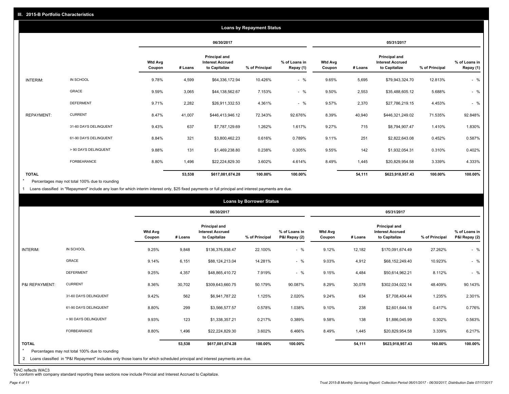|                   |                       |                          |         |                                                                  | <b>Loans by Repayment Status</b> |                            |                          |         |                                                           |                |                            |
|-------------------|-----------------------|--------------------------|---------|------------------------------------------------------------------|----------------------------------|----------------------------|--------------------------|---------|-----------------------------------------------------------|----------------|----------------------------|
|                   |                       |                          |         | 06/30/2017                                                       |                                  |                            |                          |         | 05/31/2017                                                |                |                            |
|                   |                       | <b>Wtd Avg</b><br>Coupon | # Loans | <b>Principal and</b><br><b>Interest Accrued</b><br>to Capitalize | % of Principal                   | % of Loans in<br>Repay (1) | <b>Wtd Avg</b><br>Coupon | # Loans | Principal and<br><b>Interest Accrued</b><br>to Capitalize | % of Principal | % of Loans in<br>Repay (1) |
| INTERIM:          | IN SCHOOL             | 9.78%                    | 4,599   | \$64,336,172.94                                                  | 10.426%                          | $-$ %                      | 9.65%                    | 5,695   | \$79,943,324.70                                           | 12.813%        | $-$ %                      |
|                   | GRACE                 | 9.59%                    | 3,065   | \$44,138,562.67                                                  | 7.153%                           | $-$ %                      | 9.50%                    | 2,553   | \$35,488,605.12                                           | 5.688%         | $-$ %                      |
|                   | <b>DEFERMENT</b>      | 9.71%                    | 2,282   | \$26,911,332.53                                                  | 4.361%                           | $-$ %                      | 9.57%                    | 2,370   | \$27,786,219.15                                           | 4.453%         | $-$ %                      |
| <b>REPAYMENT:</b> | <b>CURRENT</b>        | 8.47%                    | 41,007  | \$446,413,946.12                                                 | 72.343%                          | 92.676%                    | 8.39%                    | 40,940  | \$446,321,249.02                                          | 71.535%        | 92.848%                    |
|                   | 31-60 DAYS DELINQUENT | 9.43%                    | 637     | \$7,787,129.69                                                   | 1.262%                           | 1.617%                     | 9.27%                    | 715     | \$8,794,907.47                                            | 1.410%         | 1.830%                     |
|                   | 61-90 DAYS DELINQUENT | 8.84%                    | 321     | \$3,800,462.23                                                   | 0.616%                           | 0.789%                     | 9.11%                    | 251     | \$2,822,643.08                                            | 0.452%         | 0.587%                     |
|                   | > 90 DAYS DELINQUENT  | 9.88%                    | 131     | \$1,469,238.80                                                   | 0.238%                           | 0.305%                     | 9.55%                    | 142     | \$1,932,054.31                                            | 0.310%         | 0.402%                     |
|                   | FORBEARANCE           | 8.80%                    | 1,496   | \$22,224,829.30                                                  | 3.602%                           | 4.614%                     | 8.49%                    | 1,445   | \$20,829,954.58                                           | 3.339%         | 4.333%                     |
| <b>TOTAL</b>      |                       |                          | 53,538  | \$617,081,674.28                                                 | 100.00%                          | 100.00%                    |                          | 54,111  | \$623,918,957.43                                          | 100.00%        | 100.00%                    |

Percentages may not total 100% due to rounding \*

1 Loans classified in "Repayment" include any loan for which interim interest only, \$25 fixed payments or full principal and interest payments are due.

|                                                                                                                                                                                                           |                          |         | 06/30/2017                                                |                |                                |                          |         | 05/31/2017                                                       |                |                                |
|-----------------------------------------------------------------------------------------------------------------------------------------------------------------------------------------------------------|--------------------------|---------|-----------------------------------------------------------|----------------|--------------------------------|--------------------------|---------|------------------------------------------------------------------|----------------|--------------------------------|
|                                                                                                                                                                                                           | <b>Wtd Avg</b><br>Coupon | # Loans | Principal and<br><b>Interest Accrued</b><br>to Capitalize | % of Principal | % of Loans in<br>P&I Repay (2) | <b>Wtd Avg</b><br>Coupon | # Loans | <b>Principal and</b><br><b>Interest Accrued</b><br>to Capitalize | % of Principal | % of Loans in<br>P&I Repay (2) |
| IN SCHOOL<br>INTERIM:                                                                                                                                                                                     | 9.25%                    | 9,848   | \$136,376,838.47                                          | 22.100%        | $-$ %                          | 9.12%                    | 12,182  | \$170,091,674.49                                                 | 27.262%        | $-$ %                          |
| <b>GRACE</b>                                                                                                                                                                                              | 9.14%                    | 6,151   | \$88,124,213.04                                           | 14.281%        | $-$ %                          | 9.03%                    | 4,912   | \$68,152,249.40                                                  | 10.923%        | $-$ %                          |
| <b>DEFERMENT</b>                                                                                                                                                                                          | 9.25%                    | 4,357   | \$48,865,410.72                                           | 7.919%         | $-$ %                          | 9.15%                    | 4,484   | \$50,614,962.21                                                  | 8.112%         | $-$ %                          |
| <b>CURRENT</b><br>P&I REPAYMENT:                                                                                                                                                                          | 8.36%                    | 30,702  | \$309,643,660.75                                          | 50.179%        | 90.087%                        | 8.29%                    | 30,078  | \$302,034,022.14                                                 | 48.409%        | 90.143%                        |
| 31-60 DAYS DELINQUENT                                                                                                                                                                                     | 9.42%                    | 562     | \$6,941,787.22                                            | 1.125%         | 2.020%                         | 9.24%                    | 634     | \$7,708,404.44                                                   | 1.235%         | 2.301%                         |
| 61-90 DAYS DELINQUENT                                                                                                                                                                                     | 8.80%                    | 299     | \$3,566,577.57                                            | 0.578%         | 1.038%                         | 9.10%                    | 238     | \$2,601,644.18                                                   | 0.417%         | 0.776%                         |
| > 90 DAYS DELINQUENT                                                                                                                                                                                      | 9.93%                    | 123     | \$1,338,357.21                                            | 0.217%         | 0.389%                         | 9.58%                    | 138     | \$1,886,045.99                                                   | 0.302%         | 0.563%                         |
| FORBEARANCE                                                                                                                                                                                               | 8.80%                    | 1,496   | \$22,224,829.30                                           | 3.602%         | 6.466%                         | 8.49%                    | 1,445   | \$20,829,954.58                                                  | 3.339%         | 6.217%                         |
| <b>TOTAL</b><br>$\star$<br>Percentages may not total 100% due to rounding<br>2 Loans classified in "P&I Repayment" includes only those loans for which scheduled principal and interest payments are due. |                          | 53,538  | \$617,081,674.28                                          | 100.00%        | 100.00%                        |                          | 54,111  | \$623,918,957.43                                                 | 100.00%        | 100.00%                        |

WAC reflects WAC3 To conform with company standard reporting these sections now include Princial and Interest Accrued to Capitalize.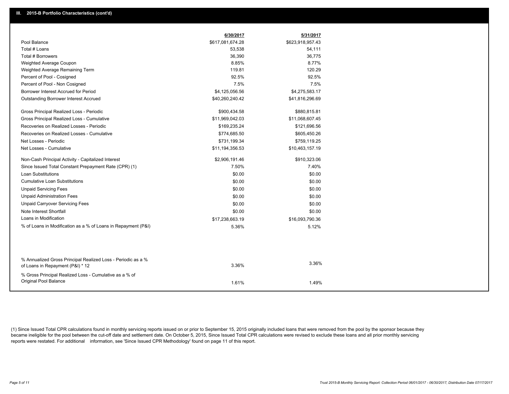|                                                                                                  | 6/30/2017        | 5/31/2017        |
|--------------------------------------------------------------------------------------------------|------------------|------------------|
| Pool Balance                                                                                     | \$617,081,674.28 | \$623,918,957.43 |
| Total # Loans                                                                                    | 53,538           | 54,111           |
| Total # Borrowers                                                                                | 36,390           | 36,775           |
| Weighted Average Coupon                                                                          | 8.85%            | 8.77%            |
| Weighted Average Remaining Term                                                                  | 119.81           | 120.29           |
| Percent of Pool - Cosigned                                                                       | 92.5%            | 92.5%            |
| Percent of Pool - Non Cosigned                                                                   | 7.5%             | 7.5%             |
| Borrower Interest Accrued for Period                                                             | \$4,125,056.56   | \$4,275,583.17   |
| <b>Outstanding Borrower Interest Accrued</b>                                                     | \$40,260,240.42  | \$41,816,296.69  |
| Gross Principal Realized Loss - Periodic                                                         | \$900,434.58     | \$880,815.81     |
| Gross Principal Realized Loss - Cumulative                                                       | \$11,969,042.03  | \$11,068,607.45  |
| Recoveries on Realized Losses - Periodic                                                         | \$169,235.24     | \$121,696.56     |
| Recoveries on Realized Losses - Cumulative                                                       | \$774,685.50     | \$605,450.26     |
| Net Losses - Periodic                                                                            | \$731,199.34     | \$759,119.25     |
| Net Losses - Cumulative                                                                          | \$11,194,356.53  | \$10,463,157.19  |
| Non-Cash Principal Activity - Capitalized Interest                                               | \$2,906,191.46   | \$910,323.06     |
| Since Issued Total Constant Prepayment Rate (CPR) (1)                                            | 7.50%            | 7.40%            |
| <b>Loan Substitutions</b>                                                                        | \$0.00           | \$0.00           |
| <b>Cumulative Loan Substitutions</b>                                                             | \$0.00           | \$0.00           |
| <b>Unpaid Servicing Fees</b>                                                                     | \$0.00           | \$0.00           |
| <b>Unpaid Administration Fees</b>                                                                | \$0.00           | \$0.00           |
| <b>Unpaid Carryover Servicing Fees</b>                                                           | \$0.00           | \$0.00           |
| Note Interest Shortfall                                                                          | \$0.00           | \$0.00           |
| Loans in Modification                                                                            | \$17,238,663.19  | \$16,093,790.36  |
| % of Loans in Modification as a % of Loans in Repayment (P&I)                                    | 5.36%            | 5.12%            |
|                                                                                                  |                  |                  |
|                                                                                                  |                  |                  |
| % Annualized Gross Principal Realized Loss - Periodic as a %<br>of Loans in Repayment (P&I) * 12 | 3.36%            | 3.36%            |
| % Gross Principal Realized Loss - Cumulative as a % of                                           |                  |                  |
| Original Pool Balance                                                                            | 1.61%            | 1.49%            |

(1) Since Issued Total CPR calculations found in monthly servicing reports issued on or prior to September 15, 2015 originally included loans that were removed from the pool by the sponsor because they became ineligible for the pool between the cut-off date and settlement date. On October 5, 2015, Since Issued Total CPR calculations were revised to exclude these loans and all prior monthly servicing reports were restated. For additional information, see 'Since Issued CPR Methodology' found on page 11 of this report.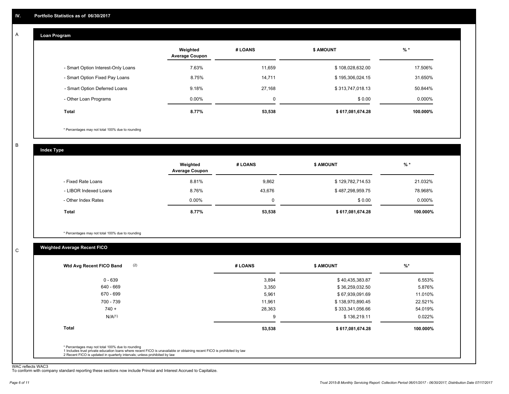#### **Loan Program**  A

|                                    | Weighted<br><b>Average Coupon</b> | # LOANS | <b>\$ AMOUNT</b> | $%$ *     |
|------------------------------------|-----------------------------------|---------|------------------|-----------|
| - Smart Option Interest-Only Loans | 7.63%                             | 11.659  | \$108,028,632.00 | 17.506%   |
| - Smart Option Fixed Pay Loans     | 8.75%                             | 14,711  | \$195,306,024.15 | 31.650%   |
| - Smart Option Deferred Loans      | 9.18%                             | 27.168  | \$313,747,018.13 | 50.844%   |
| - Other Loan Programs              | $0.00\%$                          | 0       | \$0.00           | $0.000\%$ |
| <b>Total</b>                       | 8.77%                             | 53,538  | \$617,081,674.28 | 100.000%  |

\* Percentages may not total 100% due to rounding

B

C

**Index Type**

|                       | Weighted<br><b>Average Coupon</b> | # LOANS     | <b>\$ AMOUNT</b> | $%$ *     |
|-----------------------|-----------------------------------|-------------|------------------|-----------|
| - Fixed Rate Loans    | 8.81%                             | 9,862       | \$129,782,714.53 | 21.032%   |
| - LIBOR Indexed Loans | 8.76%                             | 43,676      | \$487,298,959.75 | 78.968%   |
| - Other Index Rates   | $0.00\%$                          | $\mathbf 0$ | \$0.00           | $0.000\%$ |
| Total                 | 8.77%                             | 53,538      | \$617,081,674.28 | 100.000%  |

\* Percentages may not total 100% due to rounding

### **Weighted Average Recent FICO**

| 3,894  | \$40,435,383.87                                                                                                         | 6.553%   |
|--------|-------------------------------------------------------------------------------------------------------------------------|----------|
| 3,350  | \$36,259,032.50                                                                                                         | 5.876%   |
| 5,961  | \$67,939,091.69                                                                                                         | 11.010%  |
| 11.961 | \$138,970,890.45                                                                                                        | 22.521%  |
| 28,363 | \$333,341,056.66                                                                                                        | 54.019%  |
| 9      | \$136,219.11                                                                                                            | 0.022%   |
| 53,538 | \$617,081,674.28                                                                                                        | 100.000% |
|        |                                                                                                                         |          |
|        | 1 Includes trust private education loans where recent FICO is unavailable or obtaining recent FICO is prohibited by law |          |

WAC reflects WAC3 To conform with company standard reporting these sections now include Princial and Interest Accrued to Capitalize.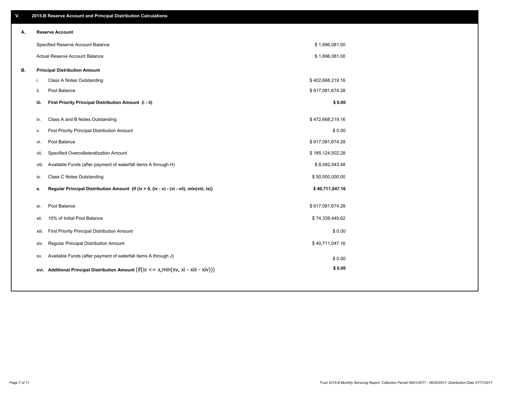| ۷. |       | 2015-B Reserve Account and Principal Distribution Calculations                             |                  |  |
|----|-------|--------------------------------------------------------------------------------------------|------------------|--|
| Α. |       | <b>Reserve Account</b>                                                                     |                  |  |
|    |       | Specified Reserve Account Balance                                                          | \$1,896,081.00   |  |
|    |       | <b>Actual Reserve Account Balance</b>                                                      | \$1,896,081.00   |  |
| В. |       | <b>Principal Distribution Amount</b>                                                       |                  |  |
|    | i.    | Class A Notes Outstanding                                                                  | \$402,668,219.16 |  |
|    | ii.   | Pool Balance                                                                               | \$617,081,674.28 |  |
|    | iii.  | First Priority Principal Distribution Amount (i - ii)                                      | \$0.00           |  |
|    |       |                                                                                            |                  |  |
|    | iv.   | Class A and B Notes Outstanding                                                            | \$472,668,219.16 |  |
|    | v.    | First Priority Principal Distribution Amount                                               | \$0.00           |  |
|    | vi.   | Pool Balance                                                                               | \$617,081,674.28 |  |
|    | vii.  | Specified Overcollateralization Amount                                                     | \$185,124,502.28 |  |
|    | viii. | Available Funds (after payment of waterfall items A through H)                             | \$8,482,543.48   |  |
|    | ix.   | <b>Class C Notes Outstanding</b>                                                           | \$50,000,000.00  |  |
|    | x.    | Regular Principal Distribution Amount (if (iv > 0, (iv - v) - (vi - vii), min(viii, ix))   | \$40,711,047.16  |  |
|    |       |                                                                                            |                  |  |
|    | xi.   | Pool Balance                                                                               | \$617,081,674.28 |  |
|    | xii.  | 10% of Initial Pool Balance                                                                | \$74,339,449.62  |  |
|    | xiii. | First Priority Principal Distribution Amount                                               | \$0.00           |  |
|    | xiv.  | Regular Principal Distribution Amount                                                      | \$40,711,047.16  |  |
|    | XV.   | Available Funds (after payment of waterfall items A through J)                             | \$0.00           |  |
|    |       | xvi. Additional Principal Distribution Amount (if(ix $\lt$ = x, min(xv, xi - xiii - xiv))) | \$0.00           |  |
|    |       |                                                                                            |                  |  |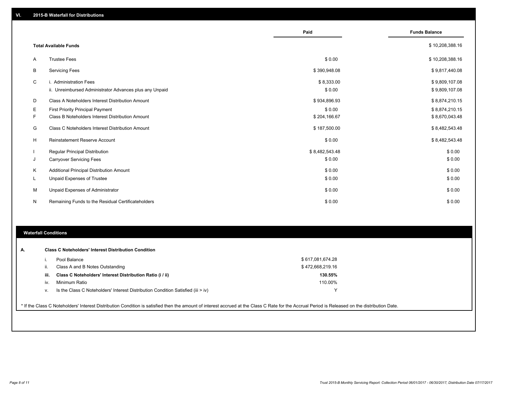|    |                                                                                   | Paid                 | <b>Funds Balance</b>             |
|----|-----------------------------------------------------------------------------------|----------------------|----------------------------------|
|    | <b>Total Available Funds</b>                                                      |                      | \$10,208,388.16                  |
| A  | <b>Trustee Fees</b>                                                               | \$0.00               | \$10,208,388.16                  |
| B  | <b>Servicing Fees</b>                                                             | \$390,948.08         | \$9,817,440.08                   |
| C  | i. Administration Fees<br>ii. Unreimbursed Administrator Advances plus any Unpaid | \$8,333.00<br>\$0.00 | \$9,809,107.08<br>\$9,809,107.08 |
| D  | Class A Noteholders Interest Distribution Amount                                  | \$934,896.93         | \$8,874,210.15                   |
| Ε  | First Priority Principal Payment                                                  | \$0.00               | \$8,874,210.15                   |
| F  | Class B Noteholders Interest Distribution Amount                                  | \$204,166.67         | \$8,670,043.48                   |
| G  | Class C Noteholders Interest Distribution Amount                                  | \$187,500.00         | \$8,482,543.48                   |
| H  | Reinstatement Reserve Account                                                     | \$0.00               | \$8,482,543.48                   |
|    | Regular Principal Distribution                                                    | \$8,482,543.48       | \$0.00                           |
| J  | <b>Carryover Servicing Fees</b>                                                   | \$0.00               | \$0.00                           |
| Κ  | Additional Principal Distribution Amount                                          | \$0.00               | \$0.00                           |
| L. | <b>Unpaid Expenses of Trustee</b>                                                 | \$0.00               | \$0.00                           |
| М  | Unpaid Expenses of Administrator                                                  | \$0.00               | \$0.00                           |
| N  | Remaining Funds to the Residual Certificateholders                                | \$0.00               | \$0.00                           |

#### **Waterfall Conditions**

|      | Pool Balance                                                                       | \$617,081,674.28 |  |  |  |  |  |
|------|------------------------------------------------------------------------------------|------------------|--|--|--|--|--|
|      | Class A and B Notes Outstanding                                                    | \$472,668,219.16 |  |  |  |  |  |
| iii. | Class C Noteholders' Interest Distribution Ratio (i / ii)                          | 130.55%          |  |  |  |  |  |
| iv.  | Minimum Ratio                                                                      | 110.00%          |  |  |  |  |  |
| V.   | Is the Class C Noteholders' Interest Distribution Condition Satisfied (iii $>$ iv) |                  |  |  |  |  |  |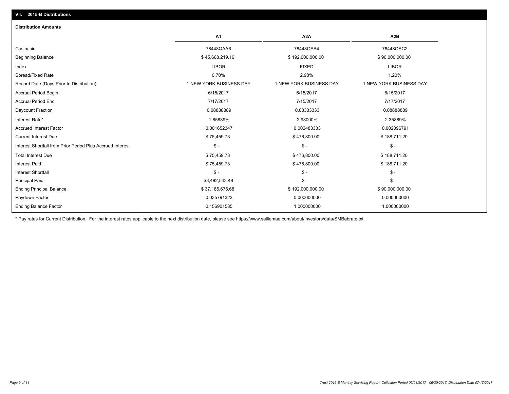| <b>Distribution Amounts</b>                                |                         |                         |                         |
|------------------------------------------------------------|-------------------------|-------------------------|-------------------------|
|                                                            | A1                      | A <sub>2</sub> A        | A <sub>2</sub> B        |
| Cusip/Isin                                                 | 78448QAA6               | 78448QAB4               | 78448QAC2               |
| <b>Beginning Balance</b>                                   | \$45,668,219.16         | \$192,000,000.00        | \$90,000,000.00         |
| Index                                                      | <b>LIBOR</b>            | <b>FIXED</b>            | <b>LIBOR</b>            |
| Spread/Fixed Rate                                          | 0.70%                   | 2.98%                   | 1.20%                   |
| Record Date (Days Prior to Distribution)                   | 1 NEW YORK BUSINESS DAY | 1 NEW YORK BUSINESS DAY | 1 NEW YORK BUSINESS DAY |
| Accrual Period Begin                                       | 6/15/2017               | 6/15/2017               | 6/15/2017               |
| <b>Accrual Period End</b>                                  | 7/17/2017               | 7/15/2017               | 7/17/2017               |
| Daycount Fraction                                          | 0.0888889               | 0.08333333              | 0.08888889              |
| Interest Rate*                                             | 1.85889%                | 2.98000%                | 2.35889%                |
| <b>Accrued Interest Factor</b>                             | 0.001652347             | 0.002483333             | 0.002096791             |
| <b>Current Interest Due</b>                                | \$75,459.73             | \$476,800.00            | \$188,711.20            |
| Interest Shortfall from Prior Period Plus Accrued Interest | $\mathsf{\$}$ -         | $\mathsf{\$}$ -         | $\mathcal{S}$ -         |
| <b>Total Interest Due</b>                                  | \$75,459.73             | \$476,800.00            | \$188,711.20            |
| <b>Interest Paid</b>                                       | \$75,459.73             | \$476,800.00            | \$188,711.20            |
| <b>Interest Shortfall</b>                                  | $$ -$                   | $\mathsf{\$}$ -         | $\mathsf{\$}$ -         |
| <b>Principal Paid</b>                                      | \$8,482,543.48          | $\mathsf{\$}$ -         | $\mathsf{\$}$ -         |
| <b>Ending Principal Balance</b>                            | \$37,185,675.68         | \$192,000,000.00        | \$90,000,000.00         |
| Paydown Factor                                             | 0.035791323             | 0.000000000             | 0.000000000             |
| <b>Ending Balance Factor</b>                               | 0.156901585             | 1.000000000             | 1.000000000             |

\* Pay rates for Current Distribution. For the interest rates applicable to the next distribution date, please see https://www.salliemae.com/about/investors/data/SMBabrate.txt.

**VII. 2015-B Distributions**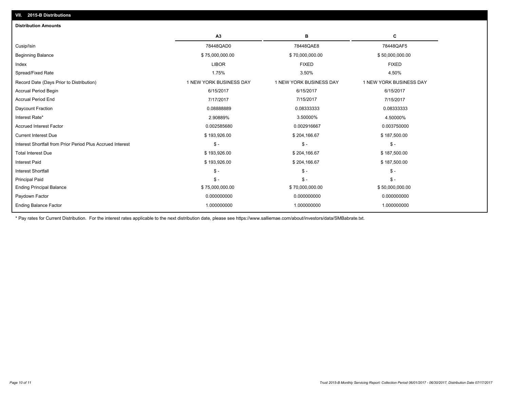|                                                            | A <sub>3</sub>          | в                       | c                       |
|------------------------------------------------------------|-------------------------|-------------------------|-------------------------|
| Cusip/Isin                                                 | 78448QAD0               | 78448QAE8               | 78448QAF5               |
| <b>Beginning Balance</b>                                   | \$75,000,000.00         | \$70,000,000.00         | \$50,000,000.00         |
| Index                                                      | <b>LIBOR</b>            | <b>FIXED</b>            | <b>FIXED</b>            |
| Spread/Fixed Rate                                          | 1.75%                   | 3.50%                   | 4.50%                   |
| Record Date (Days Prior to Distribution)                   | 1 NEW YORK BUSINESS DAY | 1 NEW YORK BUSINESS DAY | 1 NEW YORK BUSINESS DAY |
| <b>Accrual Period Begin</b>                                | 6/15/2017               | 6/15/2017               | 6/15/2017               |
| <b>Accrual Period End</b>                                  | 7/17/2017               | 7/15/2017               | 7/15/2017               |
| Daycount Fraction                                          | 0.0888889               | 0.08333333              | 0.08333333              |
| Interest Rate*                                             | 2.90889%                | 3.50000%                | 4.50000%                |
| <b>Accrued Interest Factor</b>                             | 0.002585680             | 0.002916667             | 0.003750000             |
| <b>Current Interest Due</b>                                | \$193,926.00            | \$204,166.67            | \$187,500.00            |
| Interest Shortfall from Prior Period Plus Accrued Interest | $\mathsf{\$}$ -         | $$ -$                   | \$ -                    |
| <b>Total Interest Due</b>                                  | \$193,926.00            | \$204,166.67            | \$187,500.00            |
| <b>Interest Paid</b>                                       | \$193,926.00            | \$204,166.67            | \$187,500.00            |
| <b>Interest Shortfall</b>                                  | $\mathsf{\$}$ -         | $\mathsf{\$}$ -         | $\mathsf{\$}$ -         |
| <b>Principal Paid</b>                                      | $S -$                   | $S -$                   | $S -$                   |
| <b>Ending Principal Balance</b>                            | \$75,000,000.00         | \$70,000,000.00         | \$50,000,000.00         |
| Paydown Factor                                             | 0.000000000             | 0.000000000             | 0.000000000             |
| <b>Ending Balance Factor</b>                               | 1.000000000             | 1.000000000             | 1.000000000             |

\* Pay rates for Current Distribution. For the interest rates applicable to the next distribution date, please see https://www.salliemae.com/about/investors/data/SMBabrate.txt.

**VII. 2015-B Distributions**